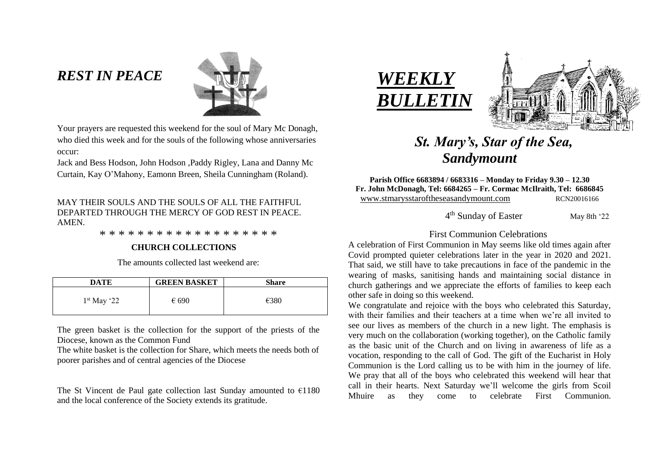# *REST IN PEACE*



Your prayers are requested this weekend for the soul of Mary Mc Donagh, who died this week and for the souls of the following whose anniversaries occur:

Jack and Bess Hodson, John Hodson ,Paddy Rigley, Lana and Danny Mc Curtain, Kay O'Mahony, Eamonn Breen, Sheila Cunningham (Roland).

MAY THEIR SOULS AND THE SOULS OF ALL THE FAITHFUL DEPARTED THROUGH THE MERCY OF GOD REST IN PEACE. **AMEN** 

\* \* \* \* \* \* \* \* \* \* \* \* \* \* \* \* \* \* \*

#### **CHURCH COLLECTIONS**

The amounts collected last weekend are:

| DATE          | <b>GREEN BASKET</b> | <b>Share</b> |
|---------------|---------------------|--------------|
| $1st$ May '22 | $\epsilon$ 690      | €380         |

The green basket is the collection for the support of the priests of the Diocese, known as the Common Fund

The white basket is the collection for Share, which meets the needs both of poorer parishes and of central agencies of the Diocese

The St Vincent de Paul gate collection last Sunday amounted to  $\epsilon$ 1180 and the local conference of the Society extends its gratitude.



4



# *St. Mary's, Star of the Sea, Sandymount*

**Parish Office 6683894 / 6683316 – Monday to Friday 9.30 – 12.30 Fr. John McDonagh, Tel: 6684265 – Fr. Cormac McIlraith, Tel: 6686845** www.stmarysstaroftheseasandymount.com RCN20016166

4<sup>th</sup> Sunday of Easter May 8th '22

### First Communion Celebrations

A celebration of First Communion in May seems like old times again after Covid prompted quieter celebrations later in the year in 2020 and 2021. That said, we still have to take precautions in face of the pandemic in the wearing of masks, sanitising hands and maintaining social distance in church gatherings and we appreciate the efforts of families to keep each other safe in doing so this weekend.

We congratulate and rejoice with the boys who celebrated this Saturday, with their families and their teachers at a time when we're all invited to see our lives as members of the church in a new light. The emphasis is very much on the collaboration (working together), on the Catholic family as the basic unit of the Church and on living in awareness of life as a vocation, responding to the call of God. The gift of the Eucharist in Holy Communion is the Lord calling us to be with him in the journey of life. We pray that all of the boys who celebrated this weekend will hear that call in their hearts. Next Saturday we'll welcome the girls from Scoil Mhuire as they come to celebrate First Communion.